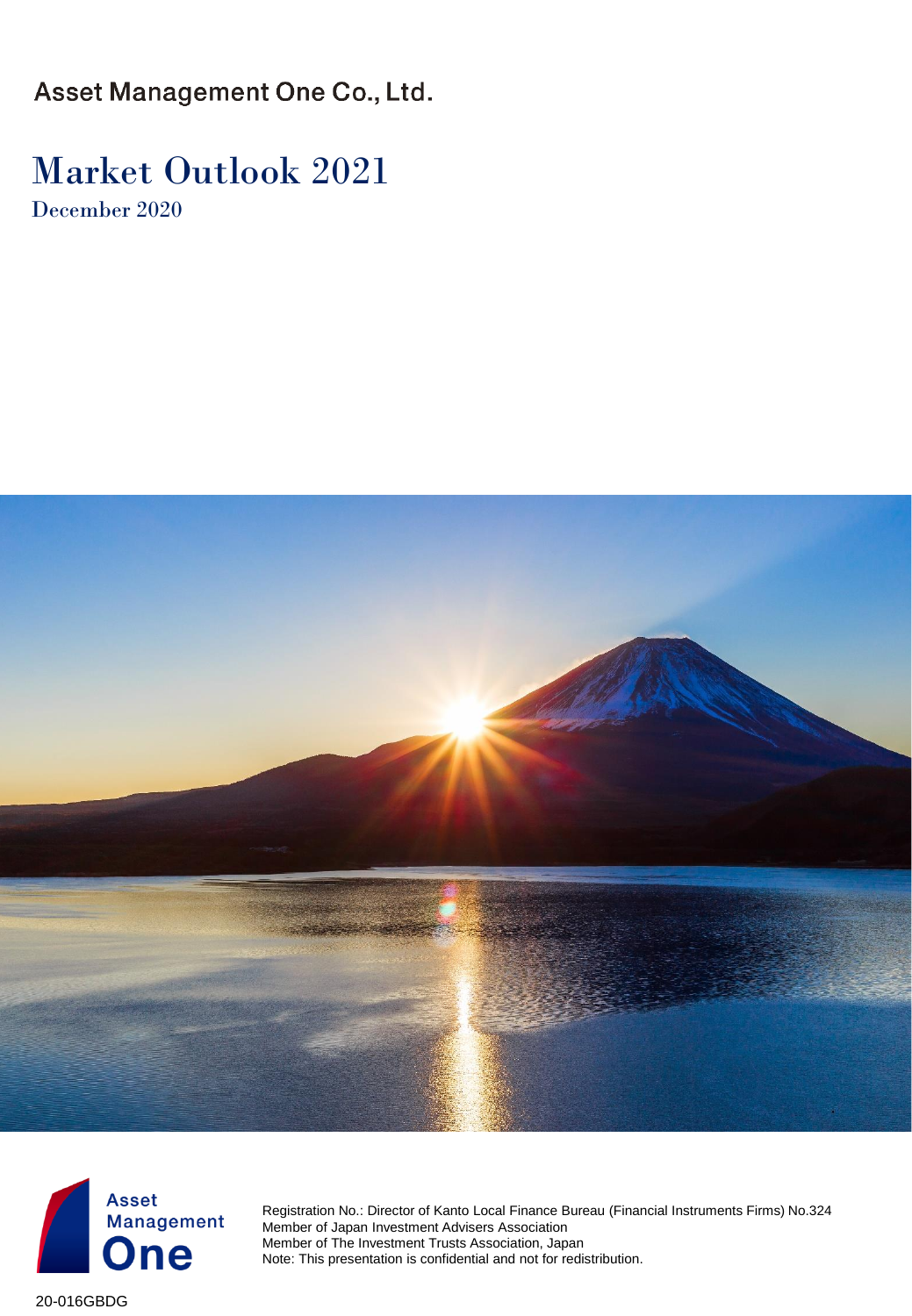Asset Management One Co., Ltd.

### Market Outlook 2021 December 2020





Registration No.: Director of Kanto Local Finance Bureau (Financial Instruments Firms) No.324 Member of Japan Investment Advisers Association Member of The Investment Trusts Association, Japan Note: This presentation is confidential and not for redistribution.

20-016GBDG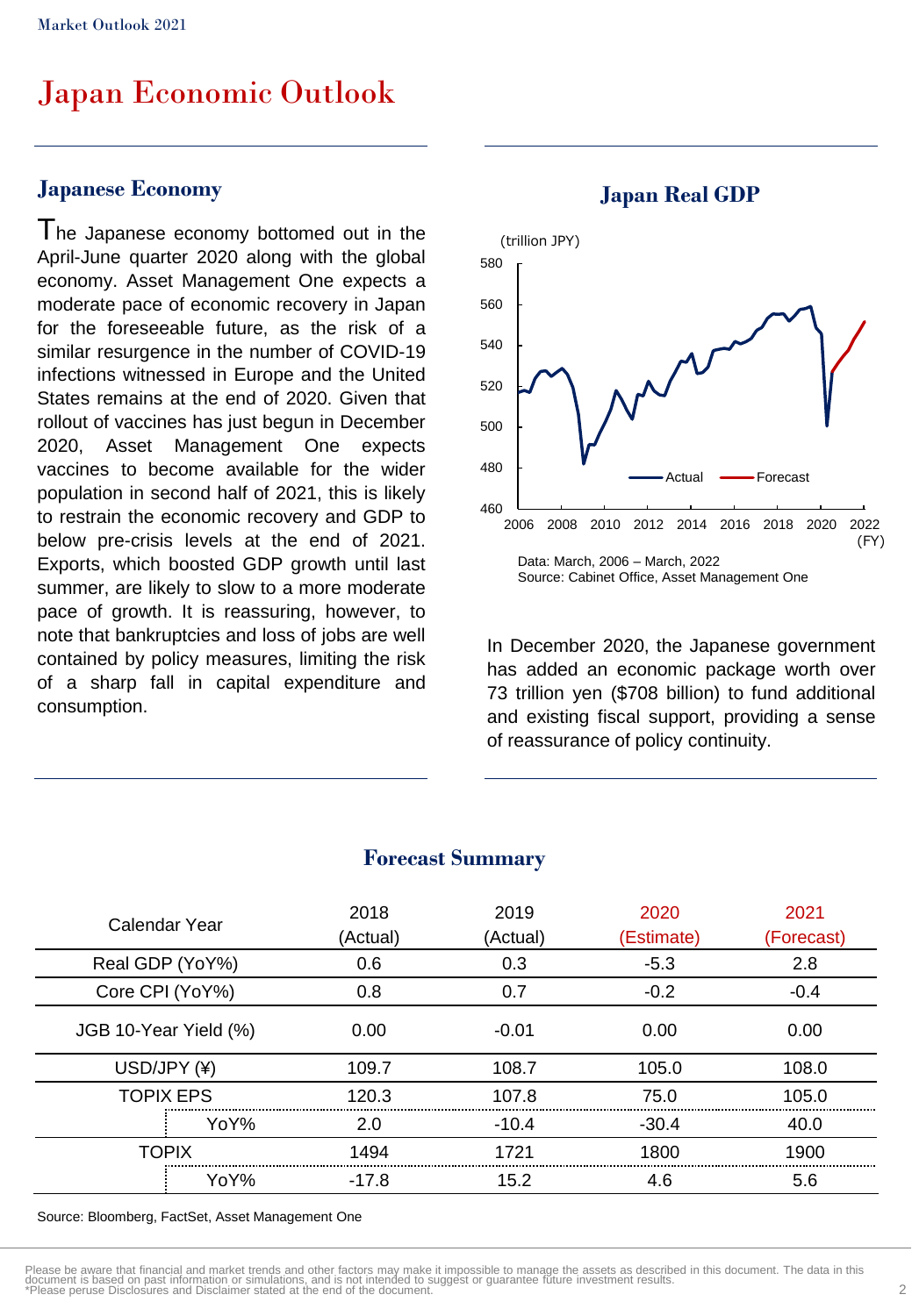### Japan Economic Outlook

#### **Japanese Economy**

The Japanese economy bottomed out in the April-June quarter 2020 along with the global economy. Asset Management One expects a moderate pace of economic recovery in Japan for the foreseeable future, as the risk of a similar resurgence in the number of COVID-19 infections witnessed in Europe and the United States remains at the end of 2020. Given that rollout of vaccines has just begun in December 2020, Asset Management One expects vaccines to become available for the wider population in second half of 2021, this is likely to restrain the economic recovery and GDP to below pre-crisis levels at the end of 2021. Exports, which boosted GDP growth until last summer, are likely to slow to a more moderate pace of growth. It is reassuring, however, to note that bankruptcies and loss of jobs are well contained by policy measures, limiting the risk of a sharp fall in capital expenditure and consumption.



In December 2020, the Japanese government has added an economic package worth over 73 trillion yen (\$708 billion) to fund additional and existing fiscal support, providing a sense of reassurance of policy continuity.

| Calendar Year         | 2018<br>(Actual) | 2019<br>(Actual) | 2020<br>(Estimate) | 2021<br>(Forecast) |
|-----------------------|------------------|------------------|--------------------|--------------------|
| Real GDP (YoY%)       | 0.6              | 0.3              | $-5.3$             | 2.8                |
| Core CPI (YoY%)       | 0.8              | 0.7              | $-0.2$             | $-0.4$             |
| JGB 10-Year Yield (%) | 0.00             | $-0.01$          | 0.00               | 0.00               |
| USD/JPY (¥)           | 109.7            | 108.7            | 105.0              | 108.0              |
| <b>TOPIX EPS</b>      | 120.3            | 107.8            | 75.0               | 105.0              |
| YoY%                  | 2.0              | $-10.4$          | $-30.4$            | 40.0               |
| TOPIX                 | 1494             | 1721             | 1800               | 1900               |
| YoY%                  | -17.8            | 15.2             | 4.6                | 5.6                |
|                       |                  |                  |                    |                    |

#### **Forecast Summary**

Source: Bloomberg, FactSet, Asset Management One

#### **Japan Real GDP**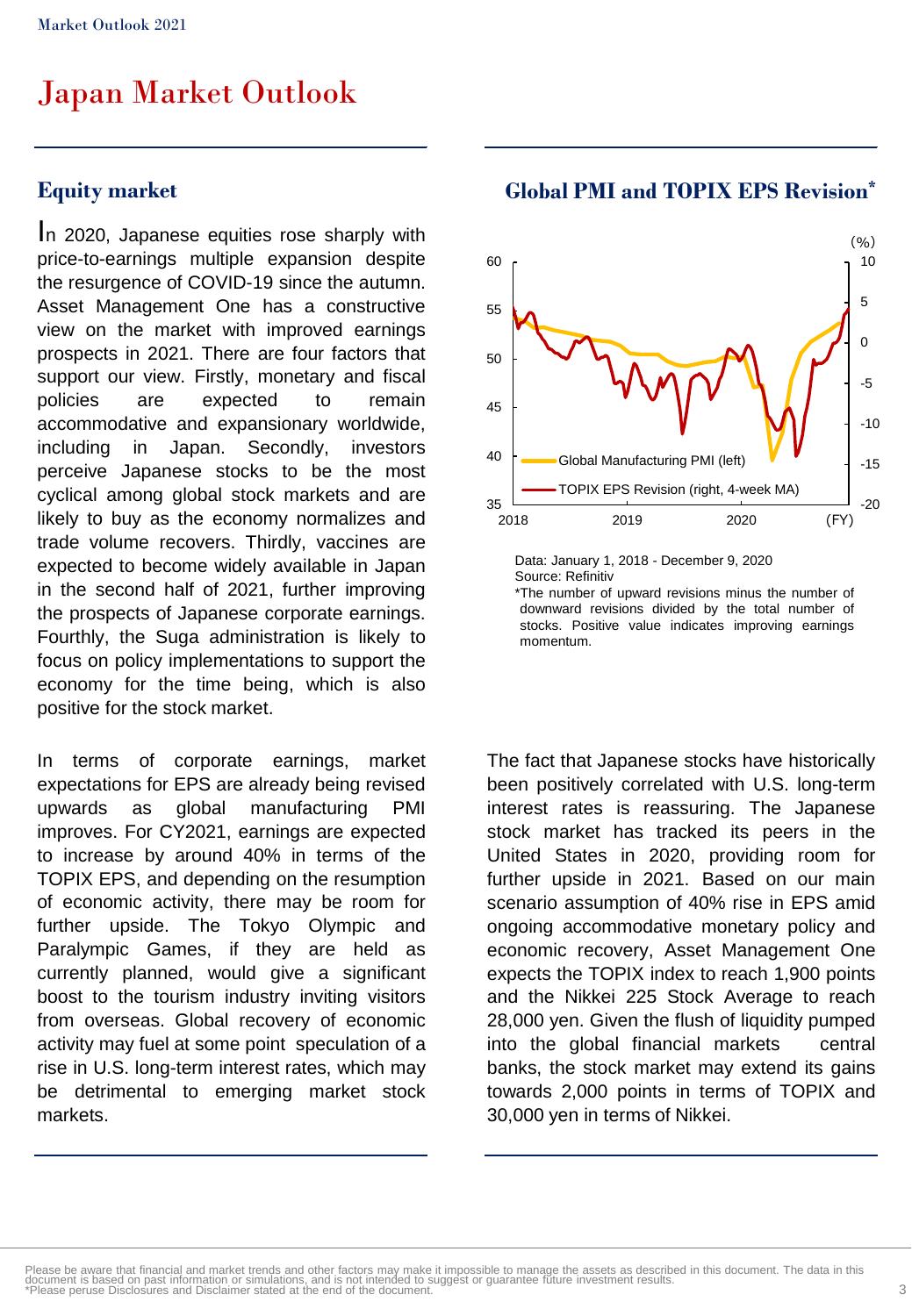#### **Equity market**

I<sup>n</sup> 2020, Japanese equities rose sharply with price-to-earnings multiple expansion despite the resurgence of COVID-19 since the autumn. Asset Management One has a constructive view on the market with improved earnings prospects in 2021. There are four factors that support our view. Firstly, monetary and fiscal policies are expected to remain accommodative and expansionary worldwide, including in Japan. Secondly, investors perceive Japanese stocks to be the most cyclical among global stock markets and are likely to buy as the economy normalizes and trade volume recovers. Thirdly, vaccines are expected to become widely available in Japan in the second half of 2021, further improving the prospects of Japanese corporate earnings. Fourthly, the Suga administration is likely to focus on policy implementations to support the economy for the time being, which is also positive for the stock market.

In terms of corporate earnings, market expectations for EPS are already being revised upwards as global manufacturing PMI improves. For CY2021, earnings are expected to increase by around 40% in terms of the TOPIX EPS, and depending on the resumption of economic activity, there may be room for further upside. The Tokyo Olympic and Paralympic Games, if they are held as currently planned, would give a significant boost to the tourism industry inviting visitors from overseas. Global recovery of economic activity may fuel at some point speculation of a rise in U.S. long-term interest rates, which may be detrimental to emerging market stock markets.



#### **Global PMI and TOPIX EPS Revision\***

Data: January 1, 2018 - December 9, 2020 Source: Refinitiv \*The number of upward revisions minus the number of

downward revisions divided by the total number of stocks. Positive value indicates improving earnings momentum.

The fact that Japanese stocks have historically been positively correlated with U.S. long-term interest rates is reassuring. The Japanese stock market has tracked its peers in the United States in 2020, providing room for further upside in 2021. Based on our main scenario assumption of 40% rise in EPS amid ongoing accommodative monetary policy and economic recovery, Asset Management One expects the TOPIX index to reach 1,900 points and the Nikkei 225 Stock Average to reach 28,000 yen. Given the flush of liquidity pumped into the global financial markets central banks, the stock market may extend its gains towards 2,000 points in terms of TOPIX and 30,000 yen in terms of Nikkei.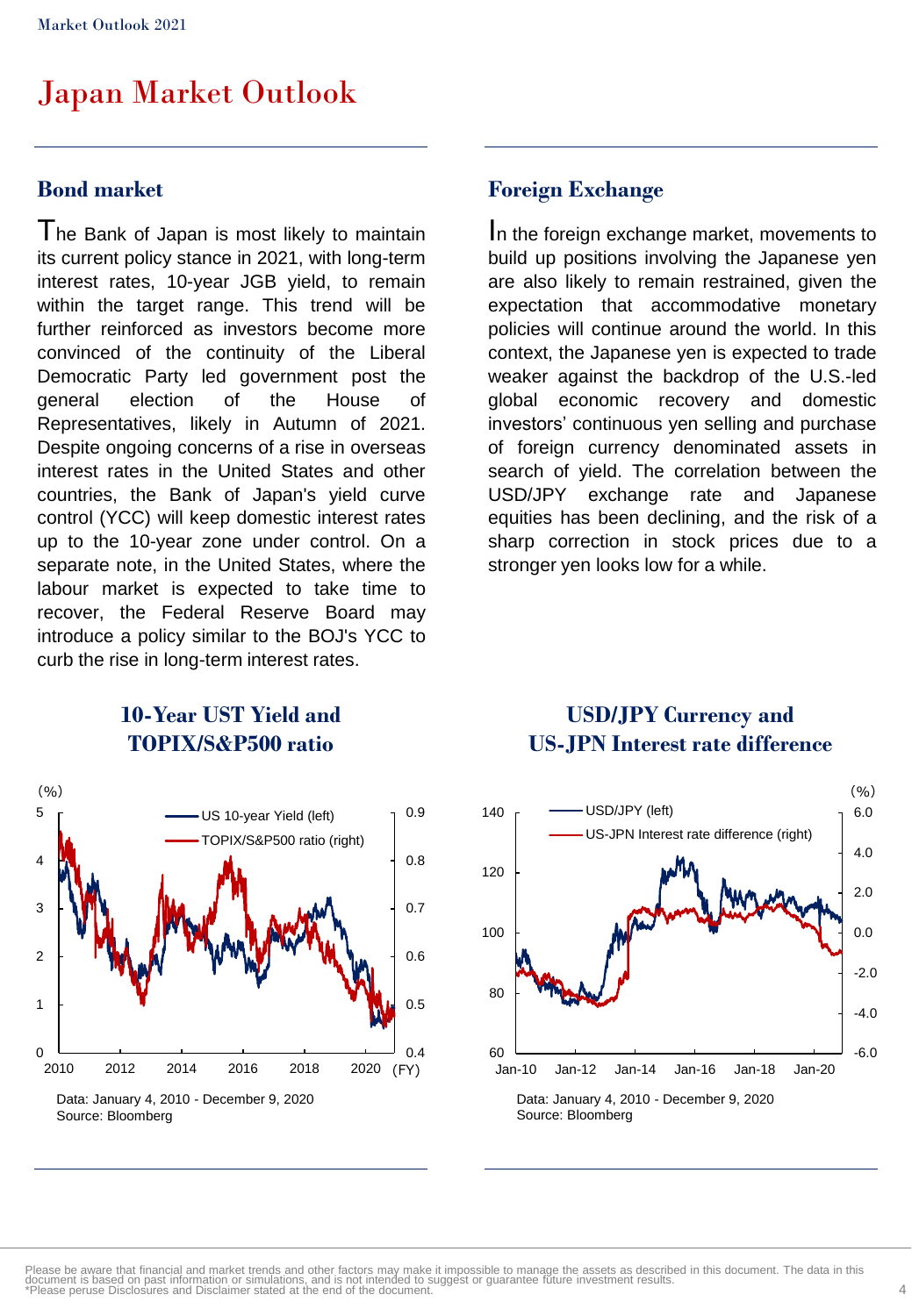#### **Bond market**

The Bank of Japan is most likely to maintain its current policy stance in 2021, with long-term interest rates, 10-year JGB yield, to remain within the target range. This trend will be further reinforced as investors become more convinced of the continuity of the Liberal Democratic Party led government post the general election of the House of Representatives, likely in Autumn of 2021. Despite ongoing concerns of a rise in overseas interest rates in the United States and other countries, the Bank of Japan's yield curve control (YCC) will keep domestic interest rates up to the 10-year zone under control. On a separate note, in the United States, where the labour market is expected to take time to recover, the Federal Reserve Board may introduce a policy similar to the BOJ's YCC to curb the rise in long-term interest rates.

### **Foreign Exchange**

I<sup>n</sup> the foreign exchange market, movements to build up positions involving the Japanese yen are also likely to remain restrained, given the expectation that accommodative monetary policies will continue around the world. In this context, the Japanese yen is expected to trade weaker against the backdrop of the U.S.-led global economic recovery and domestic investors' continuous yen selling and purchase of foreign currency denominated assets in search of yield. The correlation between the USD/JPY exchange rate and Japanese equities has been declining, and the risk of a sharp correction in stock prices due to a stronger yen looks low for a while.

### **10-Year UST Yield and TOPIX/S&P500 ratio**



#### **USD/JPY Currency and US-JPN Interest rate difference**

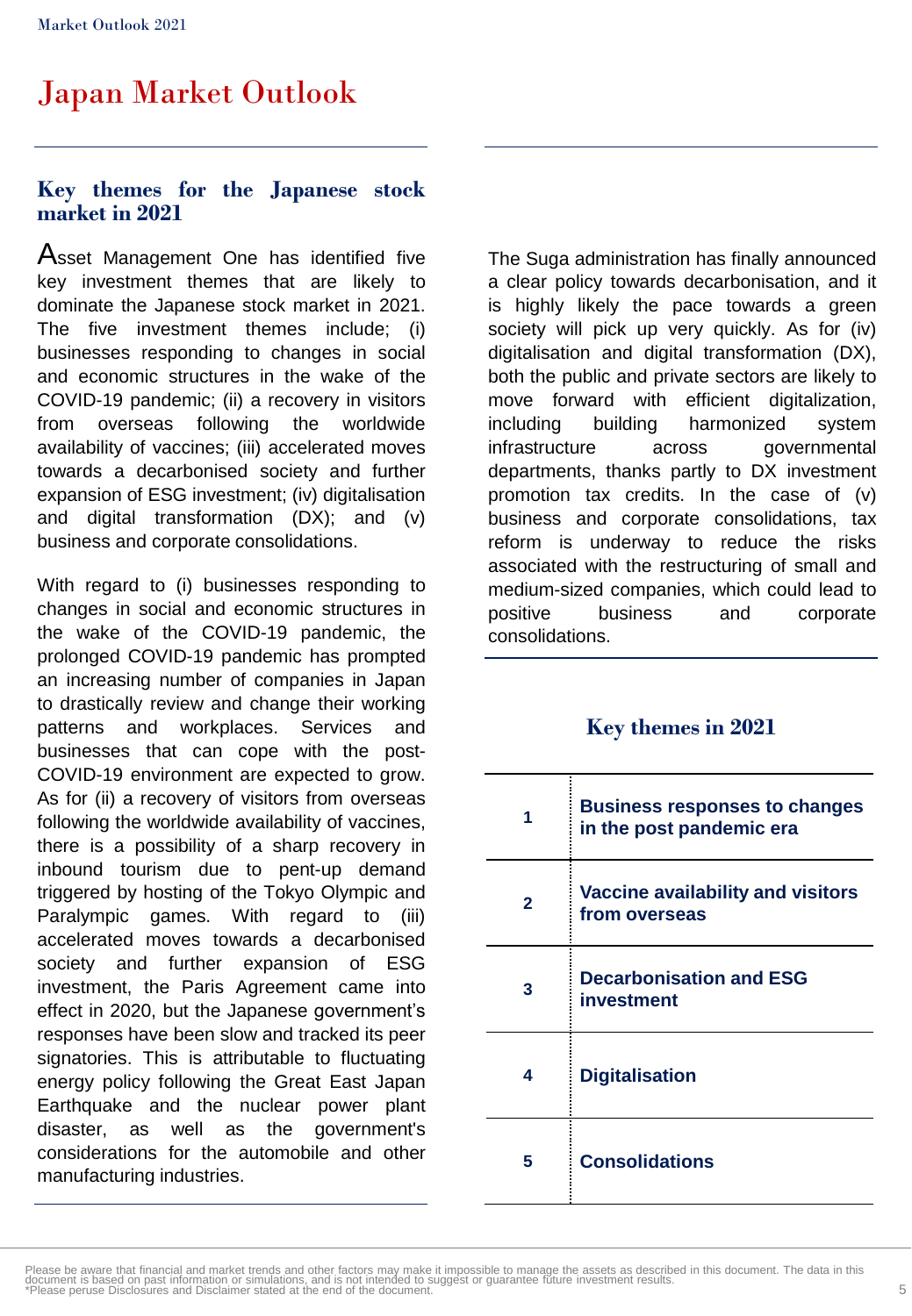#### **Key themes for the Japanese stock market in 2021**

Asset Management One has identified five key investment themes that are likely to dominate the Japanese stock market in 2021. The five investment themes include; (i) businesses responding to changes in social and economic structures in the wake of the COVID-19 pandemic; (ii) a recovery in visitors from overseas following the worldwide availability of vaccines; (iii) accelerated moves towards a decarbonised society and further expansion of ESG investment; (iv) digitalisation and digital transformation (DX); and (v) business and corporate consolidations.

With regard to (i) businesses responding to changes in social and economic structures in the wake of the COVID-19 pandemic, the prolonged COVID-19 pandemic has prompted an increasing number of companies in Japan to drastically review and change their working patterns and workplaces. Services and businesses that can cope with the post-COVID-19 environment are expected to grow. As for (ii) a recovery of visitors from overseas following the worldwide availability of vaccines, there is a possibility of a sharp recovery in inbound tourism due to pent-up demand triggered by hosting of the Tokyo Olympic and Paralympic games. With regard to (iii) accelerated moves towards a decarbonised society and further expansion of ESG investment, the Paris Agreement came into effect in 2020, but the Japanese government's responses have been slow and tracked its peer signatories. This is attributable to fluctuating energy policy following the Great East Japan Earthquake and the nuclear power plant disaster, as well as the government's considerations for the automobile and other manufacturing industries.

The Suga administration has finally announced a clear policy towards decarbonisation, and it is highly likely the pace towards a green society will pick up very quickly. As for (iv) digitalisation and digital transformation (DX), both the public and private sectors are likely to move forward with efficient digitalization, including building harmonized system infrastructure across governmental departments, thanks partly to DX investment promotion tax credits. In the case of (v) business and corporate consolidations, tax reform is underway to reduce the risks associated with the restructuring of small and medium-sized companies, which could lead to positive business and corporate consolidations.

#### **Key themes in 2021**

| 1 | <b>Business responses to changes</b><br>in the post pandemic era |
|---|------------------------------------------------------------------|
| 2 | Vaccine availability and visitors<br>from overseas               |
| 3 | <b>Decarbonisation and ESG</b><br>investment                     |
| 4 | <b>Digitalisation</b>                                            |
| 5 | <b>Consolidations</b>                                            |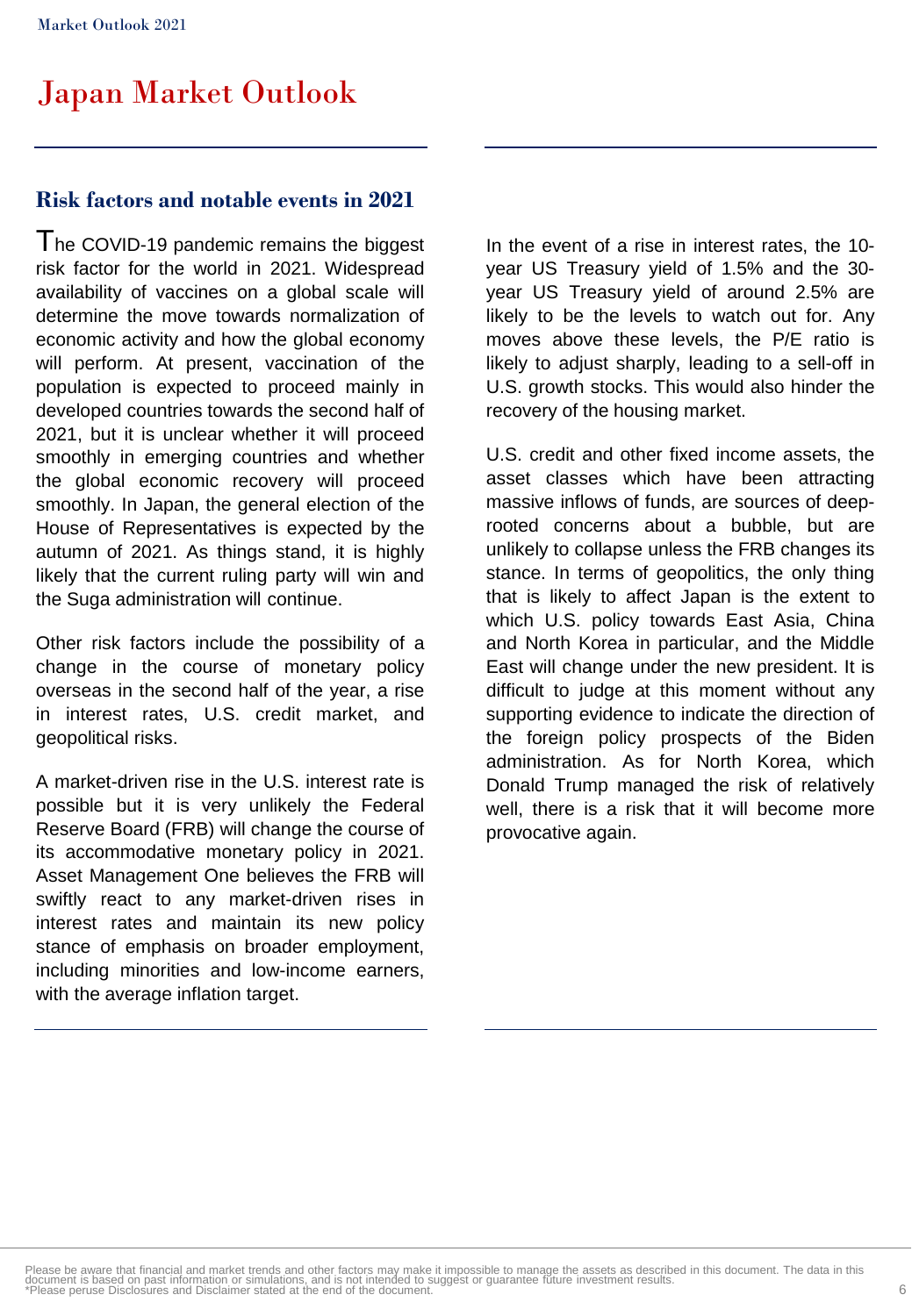#### **Risk factors and notable events in 2021**

I he COVID-19 pandemic remains the biggest risk factor for the world in 2021. Widespread availability of vaccines on a global scale will determine the move towards normalization of economic activity and how the global economy will perform. At present, vaccination of the population is expected to proceed mainly in developed countries towards the second half of 2021, but it is unclear whether it will proceed smoothly in emerging countries and whether the global economic recovery will proceed smoothly. In Japan, the general election of the House of Representatives is expected by the autumn of 2021. As things stand, it is highly likely that the current ruling party will win and the Suga administration will continue.

Other risk factors include the possibility of a change in the course of monetary policy overseas in the second half of the year, a rise in interest rates, U.S. credit market, and geopolitical risks.

A market-driven rise in the U.S. interest rate is possible but it is very unlikely the Federal Reserve Board (FRB) will change the course of its accommodative monetary policy in 2021. Asset Management One believes the FRB will swiftly react to any market-driven rises in interest rates and maintain its new policy stance of emphasis on broader employment, including minorities and low-income earners, with the average inflation target.

In the event of a rise in interest rates, the 10 year US Treasury yield of 1.5% and the 30 year US Treasury yield of around 2.5% are likely to be the levels to watch out for. Any moves above these levels, the P/E ratio is likely to adjust sharply, leading to a sell-off in U.S. growth stocks. This would also hinder the recovery of the housing market.

U.S. credit and other fixed income assets, the asset classes which have been attracting massive inflows of funds, are sources of deeprooted concerns about a bubble, but are unlikely to collapse unless the FRB changes its stance. In terms of geopolitics, the only thing that is likely to affect Japan is the extent to which U.S. policy towards East Asia, China and North Korea in particular, and the Middle East will change under the new president. It is difficult to judge at this moment without any supporting evidence to indicate the direction of the foreign policy prospects of the Biden administration. As for North Korea, which Donald Trump managed the risk of relatively well, there is a risk that it will become more provocative again.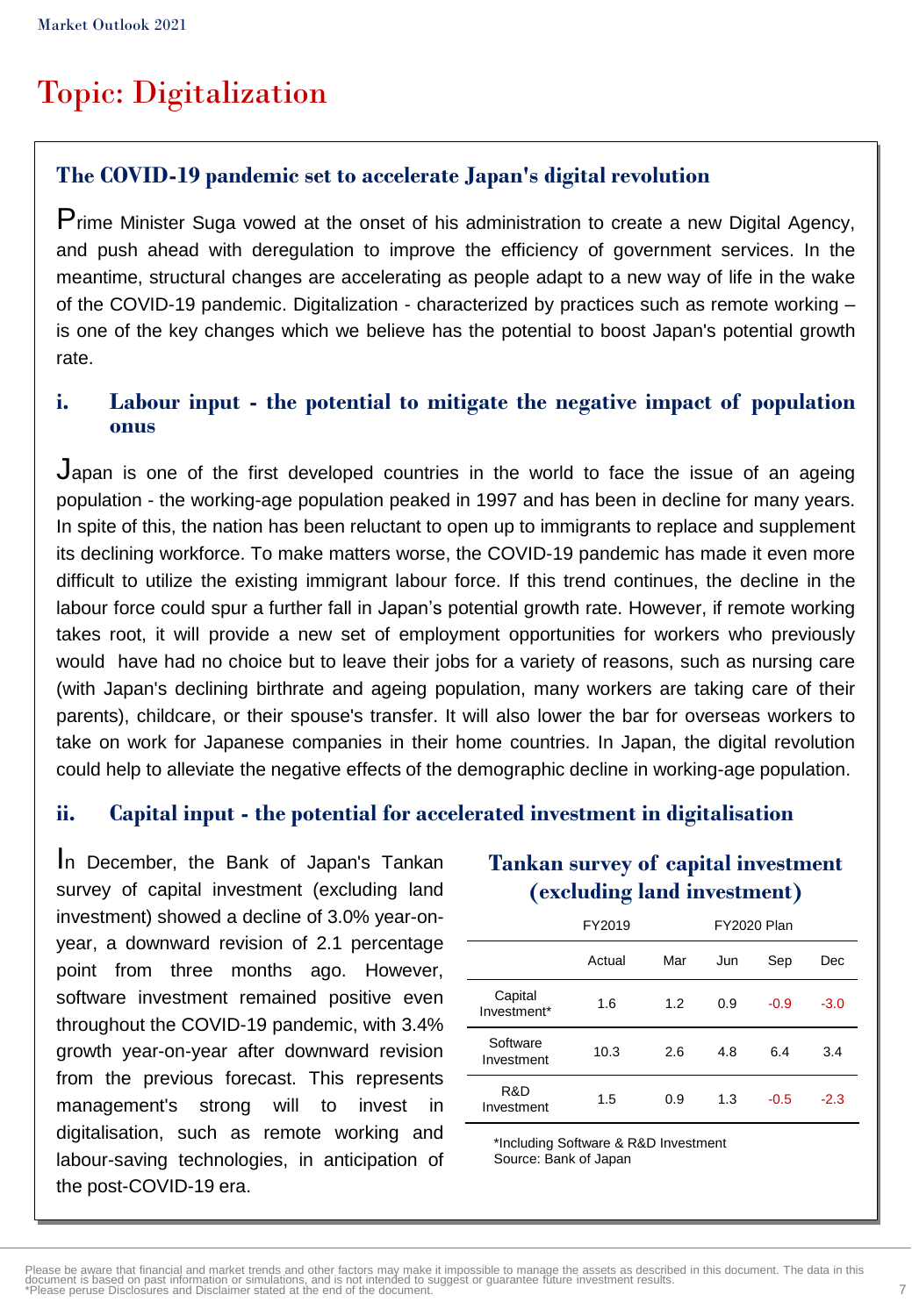# Topic: Digitalization

### **The COVID-19 pandemic set to accelerate Japan's digital revolution**

Prime Minister Suga vowed at the onset of his administration to create <sup>a</sup> new Digital Agency, and push ahead with deregulation to improve the efficiency of government services. In the meantime, structural changes are accelerating as people adapt to a new way of life in the wake of the COVID-19 pandemic. Digitalization - characterized by practices such as remote working – is one of the key changes which we believe has the potential to boost Japan's potential growth rate.

#### **i. Labour input - the potential to mitigate the negative impact of population onus**

Japan is one of the first developed countries in the world to face the issue of an ageing population - the working-age population peaked in 1997 and has been in decline for many years. In spite of this, the nation has been reluctant to open up to immigrants to replace and supplement its declining workforce. To make matters worse, the COVID-19 pandemic has made it even more difficult to utilize the existing immigrant labour force. If this trend continues, the decline in the labour force could spur a further fall in Japan's potential growth rate. However, if remote working takes root, it will provide a new set of employment opportunities for workers who previously would have had no choice but to leave their jobs for a variety of reasons, such as nursing care (with Japan's declining birthrate and ageing population, many workers are taking care of their parents), childcare, or their spouse's transfer. It will also lower the bar for overseas workers to take on work for Japanese companies in their home countries. In Japan, the digital revolution could help to alleviate the negative effects of the demographic decline in working-age population.

#### **ii. Capital input - the potential for accelerated investment in digitalisation**

I<sup>n</sup> December, the Bank of Japan's Tankan survey of capital investment (excluding land investment) showed a decline of 3.0% year-onyear, a downward revision of 2.1 percentage point from three months ago. However, software investment remained positive even throughout the COVID-19 pandemic, with 3.4% growth year-on-year after downward revision from the previous forecast. This represents management's strong will to invest in digitalisation, such as remote working and labour-saving technologies, in anticipation of the post-COVID-19 era.

#### **Tankan survey of capital investment (excluding land investment)**

|                        | FY2019 |     | <b>FY2020 Plan</b> |        |        |
|------------------------|--------|-----|--------------------|--------|--------|
|                        | Actual | Mar | Jun                | Sep    | Dec    |
| Capital<br>Investment* | 1.6    | 1.2 | 0.9                | $-0.9$ | $-3.0$ |
| Software<br>Investment | 10.3   | 2.6 | 4.8                | 6.4    | 3.4    |
| R&D<br>Investment      | 1.5    | 0.9 | 1.3                | $-0.5$ | $-2.3$ |

\*Including Software & R&D Investment Source: Bank of Japan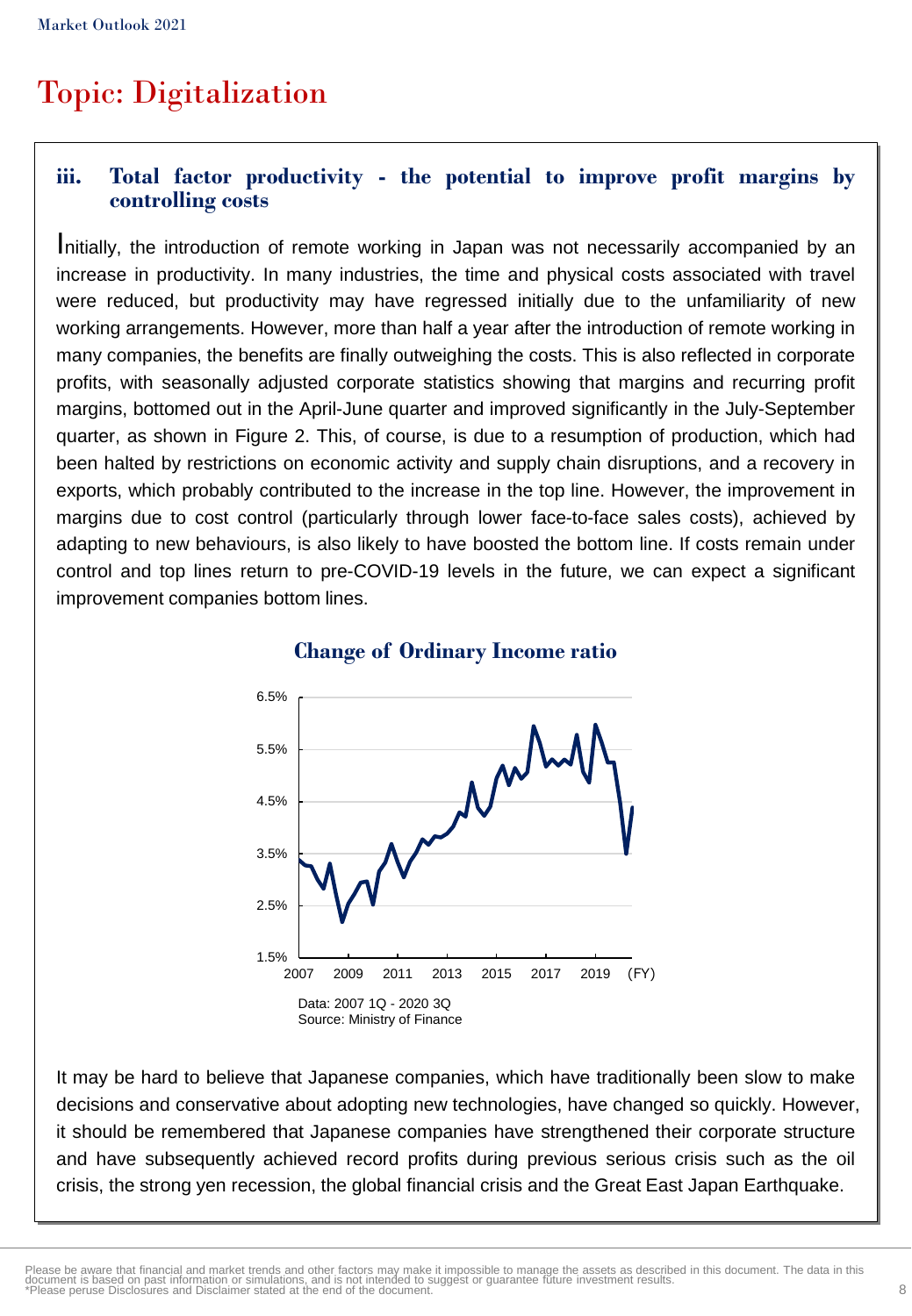## Topic: Digitalization

#### **iii. Total factor productivity - the potential to improve profit margins by controlling costs**

Initially, the introduction of remote working in Japan was not necessarily accompanied by an increase in productivity. In many industries, the time and physical costs associated with travel were reduced, but productivity may have regressed initially due to the unfamiliarity of new working arrangements. However, more than half a year after the introduction of remote working in many companies, the benefits are finally outweighing the costs. This is also reflected in corporate profits, with seasonally adjusted corporate statistics showing that margins and recurring profit margins, bottomed out in the April-June quarter and improved significantly in the July-September quarter, as shown in Figure 2. This, of course, is due to a resumption of production, which had been halted by restrictions on economic activity and supply chain disruptions, and a recovery in exports, which probably contributed to the increase in the top line. However, the improvement in margins due to cost control (particularly through lower face-to-face sales costs), achieved by adapting to new behaviours, is also likely to have boosted the bottom line. If costs remain under control and top lines return to pre-COVID-19 levels in the future, we can expect a significant improvement companies bottom lines.



#### **Change of Ordinary Income ratio**

It may be hard to believe that Japanese companies, which have traditionally been slow to make decisions and conservative about adopting new technologies, have changed so quickly. However, it should be remembered that Japanese companies have strengthened their corporate structure and have subsequently achieved record profits during previous serious crisis such as the oil crisis, the strong yen recession, the global financial crisis and the Great East Japan Earthquake.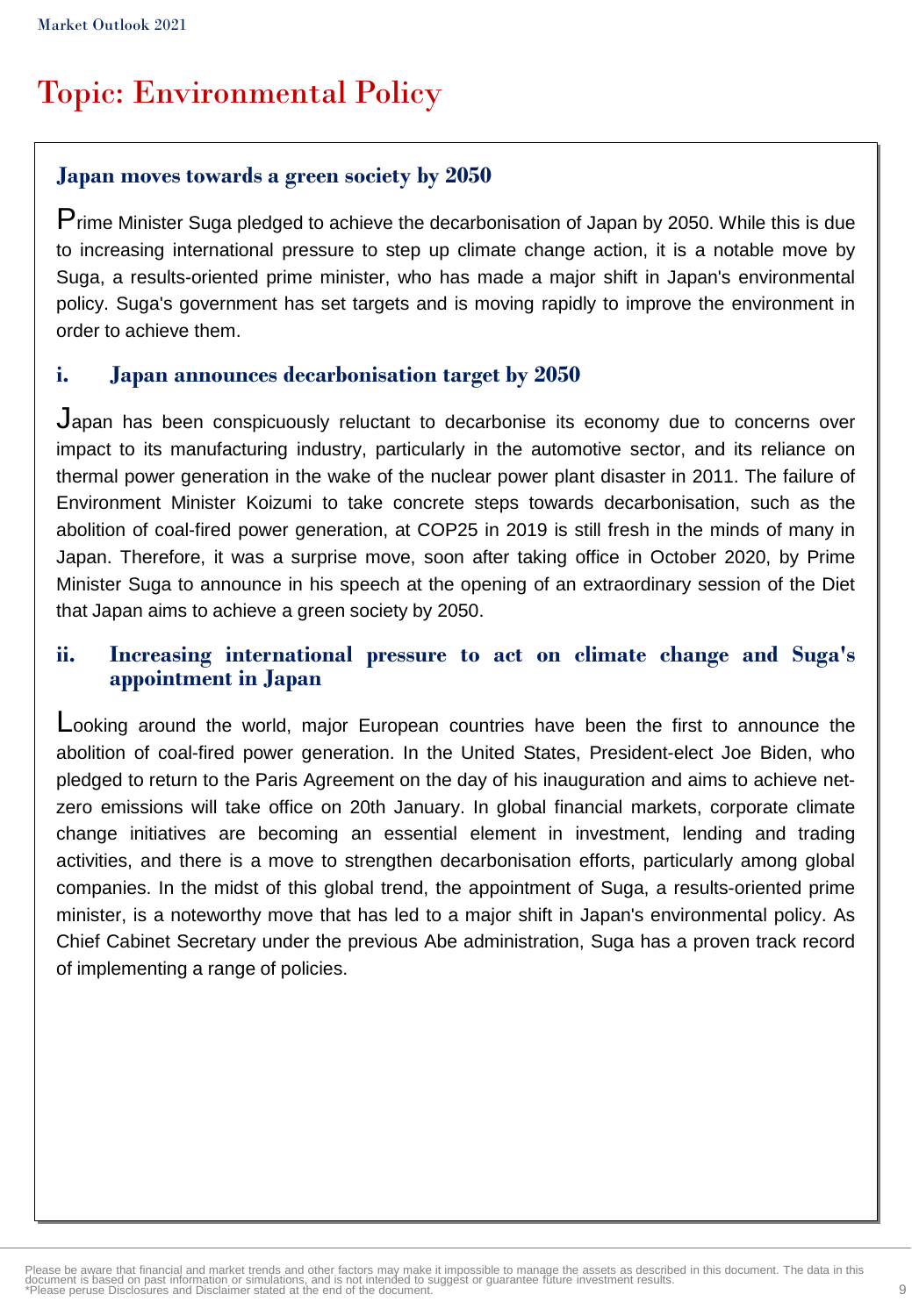# Topic: Environmental Policy

#### **Japan moves towards a green society by 2050**

Prime Minister Suga pledged to achieve the decarbonisation of Japan by 2050. While this is due to increasing international pressure to step up climate change action, it is a notable move by Suga, a results-oriented prime minister, who has made a major shift in Japan's environmental policy. Suga's government has set targets and is moving rapidly to improve the environment in order to achieve them.

#### **i. Japan announces decarbonisation target by 2050**

Japan has been conspicuously reluctant to decarbonise its economy due to concerns over impact to its manufacturing industry, particularly in the automotive sector, and its reliance on thermal power generation in the wake of the nuclear power plant disaster in 2011. The failure of Environment Minister Koizumi to take concrete steps towards decarbonisation, such as the abolition of coal-fired power generation, at COP25 in 2019 is still fresh in the minds of many in Japan. Therefore, it was a surprise move, soon after taking office in October 2020, by Prime Minister Suga to announce in his speech at the opening of an extraordinary session of the Diet that Japan aims to achieve a green society by 2050.

#### **ii. Increasing international pressure to act on climate change and Suga's appointment in Japan**

Looking around the world, major European countries have been the first to announce the abolition of coal-fired power generation. In the United States, President-elect Joe Biden, who pledged to return to the Paris Agreement on the day of his inauguration and aims to achieve netzero emissions will take office on 20th January. In global financial markets, corporate climate change initiatives are becoming an essential element in investment, lending and trading activities, and there is a move to strengthen decarbonisation efforts, particularly among global companies. In the midst of this global trend, the appointment of Suga, a results-oriented prime minister, is a noteworthy move that has led to a major shift in Japan's environmental policy. As Chief Cabinet Secretary under the previous Abe administration, Suga has a proven track record of implementing a range of policies.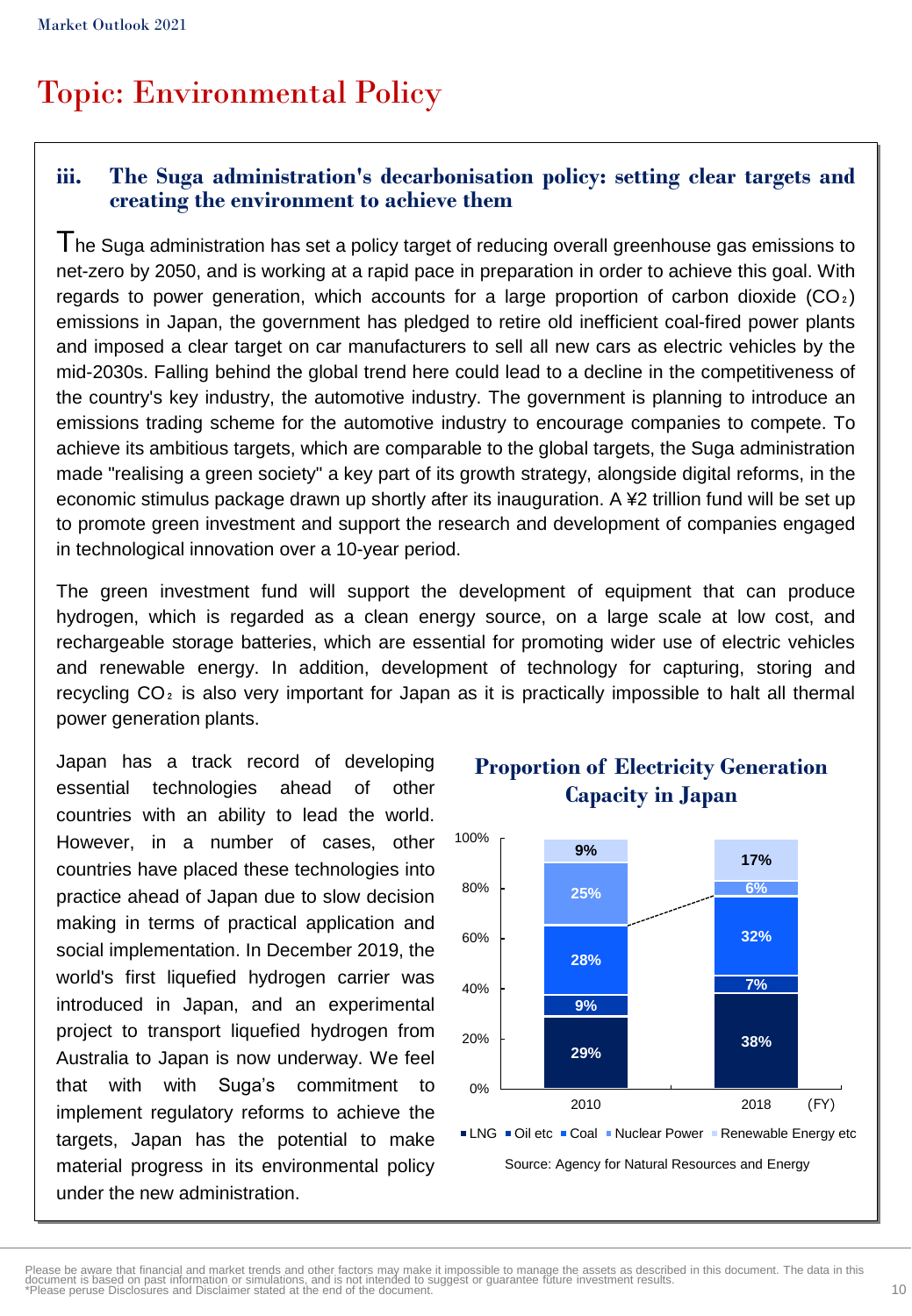# Topic: Environmental Policy

#### **iii. The Suga administration's decarbonisation policy: setting clear targets and creating the environment to achieve them**

The Suga administration has set <sup>a</sup> policy target of reducing overall greenhouse gas emissions to net-zero by 2050, and is working at a rapid pace in preparation in order to achieve this goal. With regards to power generation, which accounts for a large proportion of carbon dioxide  $(CO_2)$ emissions in Japan, the government has pledged to retire old inefficient coal-fired power plants and imposed a clear target on car manufacturers to sell all new cars as electric vehicles by the mid-2030s. Falling behind the global trend here could lead to a decline in the competitiveness of the country's key industry, the automotive industry. The government is planning to introduce an emissions trading scheme for the automotive industry to encourage companies to compete. To achieve its ambitious targets, which are comparable to the global targets, the Suga administration made "realising a green society" a key part of its growth strategy, alongside digital reforms, in the economic stimulus package drawn up shortly after its inauguration. A ¥2 trillion fund will be set up to promote green investment and support the research and development of companies engaged in technological innovation over a 10-year period.

The green investment fund will support the development of equipment that can produce hydrogen, which is regarded as a clean energy source, on a large scale at low cost, and rechargeable storage batteries, which are essential for promoting wider use of electric vehicles and renewable energy. In addition, development of technology for capturing, storing and recycling  $CO<sub>2</sub>$  is also very important for Japan as it is practically impossible to halt all thermal power generation plants.

Japan has a track record of developing essential technologies ahead of other countries with an ability to lead the world. However, in a number of cases, other countries have placed these technologies into practice ahead of Japan due to slow decision making in terms of practical application and social implementation. In December 2019, the world's first liquefied hydrogen carrier was introduced in Japan, and an experimental project to transport liquefied hydrogen from Australia to Japan is now underway. We feel that with with Suga's commitment to implement regulatory reforms to achieve the targets, Japan has the potential to make material progress in its environmental policy under the new administration.



### **Proportion of Electricity Generation Capacity in Japan**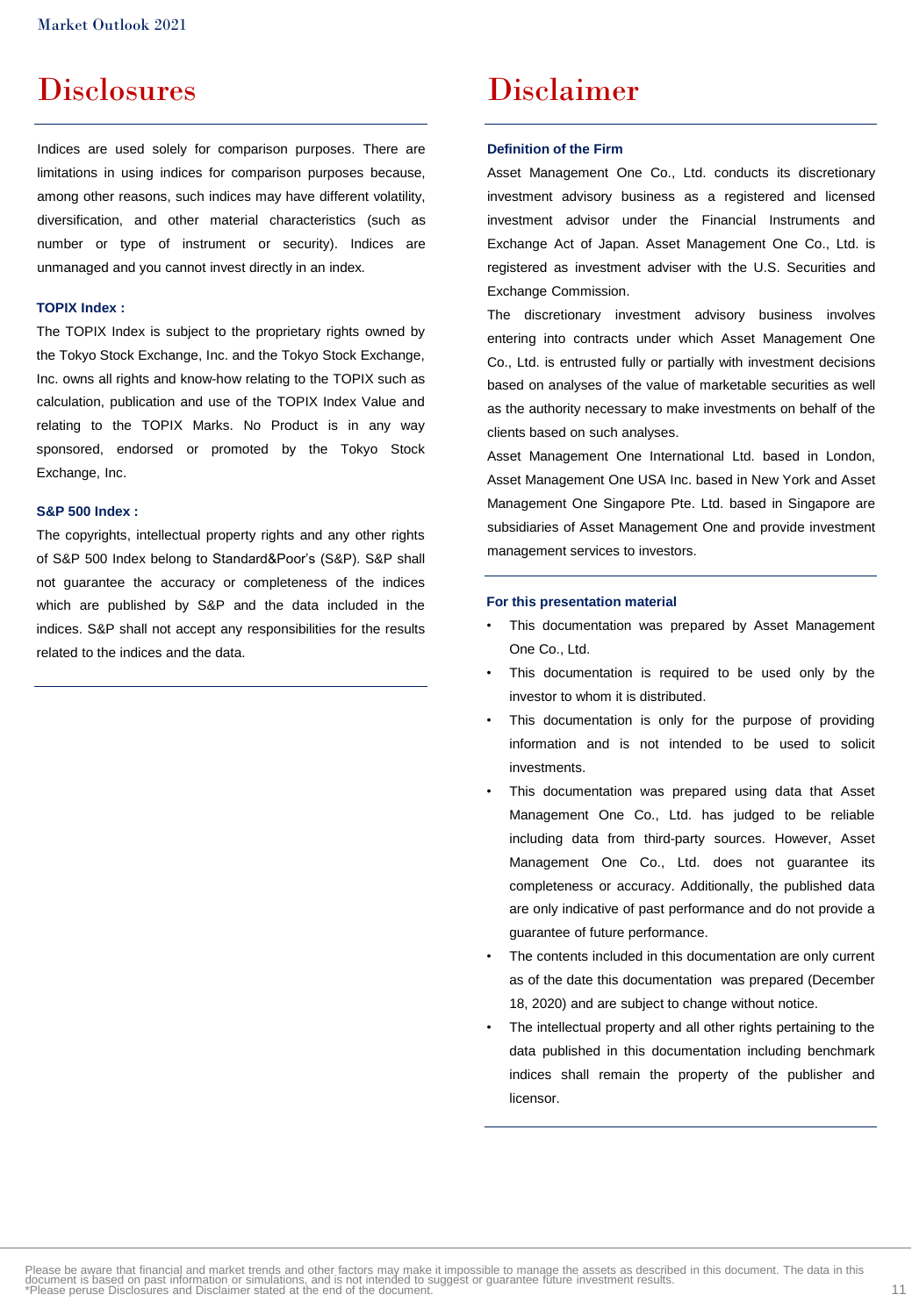### **Disclosures**

Indices are used solely for comparison purposes. There are limitations in using indices for comparison purposes because, among other reasons, such indices may have different volatility, diversification, and other material characteristics (such as number or type of instrument or security). Indices are unmanaged and you cannot invest directly in an index.

#### **TOPIX Index :**

The TOPIX Index is subject to the proprietary rights owned by the Tokyo Stock Exchange, Inc. and the Tokyo Stock Exchange, Inc. owns all rights and know-how relating to the TOPIX such as calculation, publication and use of the TOPIX Index Value and relating to the TOPIX Marks. No Product is in any way sponsored, endorsed or promoted by the Tokyo Stock Exchange, Inc.

#### **S&P 500 Index :**

The copyrights, intellectual property rights and any other rights of S&P 500 Index belong to Standard&Poor's (S&P). S&P shall not guarantee the accuracy or completeness of the indices which are published by S&P and the data included in the indices. S&P shall not accept any responsibilities for the results related to the indices and the data.

### Disclaimer

#### **Definition of the Firm**

Asset Management One Co., Ltd. conducts its discretionary investment advisory business as a registered and licensed investment advisor under the Financial Instruments and Exchange Act of Japan. Asset Management One Co., Ltd. is registered as investment adviser with the U.S. Securities and Exchange Commission.

The discretionary investment advisory business involves entering into contracts under which Asset Management One Co., Ltd. is entrusted fully or partially with investment decisions based on analyses of the value of marketable securities as well as the authority necessary to make investments on behalf of the clients based on such analyses.

Asset Management One International Ltd. based in London, Asset Management One USA Inc. based in New York and Asset Management One Singapore Pte. Ltd. based in Singapore are subsidiaries of Asset Management One and provide investment management services to investors.

#### **For this presentation material**

- This documentation was prepared by Asset Management One Co., Ltd.
- This documentation is required to be used only by the investor to whom it is distributed.
- This documentation is only for the purpose of providing information and is not intended to be used to solicit investments.
- This documentation was prepared using data that Asset Management One Co., Ltd. has judged to be reliable including data from third-party sources. However, Asset Management One Co., Ltd. does not guarantee its completeness or accuracy. Additionally, the published data are only indicative of past performance and do not provide a guarantee of future performance.
- The contents included in this documentation are only current as of the date this documentation was prepared (December 18, 2020) and are subject to change without notice.
- The intellectual property and all other rights pertaining to the data published in this documentation including benchmark indices shall remain the property of the publisher and licensor.